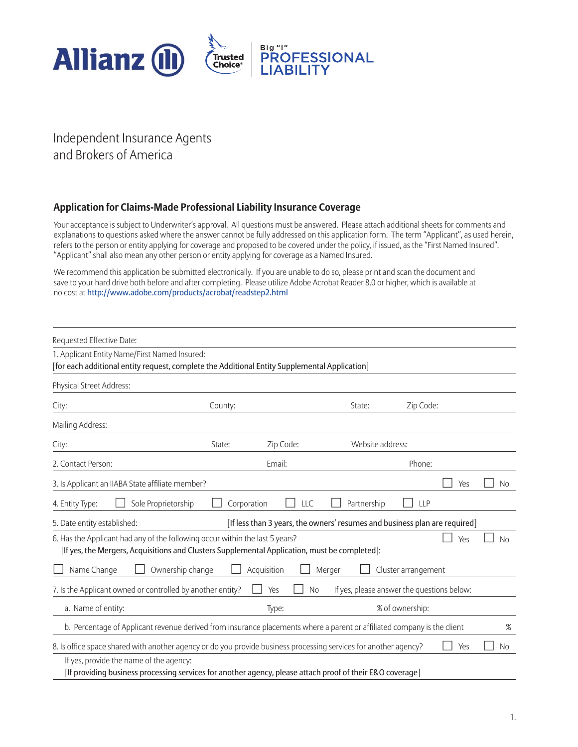

## Independent Insurance Agents and Brokers of America

#### **Application for Claims-Made Professional Liability Insurance Coverage**

Your acceptance is subject to Underwriter's approval. All questions must be answered. Please attach additional sheets for comments and explanations to questions asked where the answer cannot be fully addressed on this application form. The term "Applicant", as used herein, refers to the person or entity applying for coverage and proposed to be covered under the policy, if issued, as the "First Named Insured". "Applicant" shall also mean any other person or entity applying for coverage as a Named Insured.

We recommend this application be submitted electronically. If you are unable to do so, please print and scan the document and save to your hard drive both before and after completing. Please utilize Adobe Acrobat Reader 8.0 or higher, which is available at no cost at http://www.adobe.com/products/acrobat/readstep2.html

| Requested Effective Date:                                                                                                                                                     |             |                                                                            |                                            |                     |     |           |
|-------------------------------------------------------------------------------------------------------------------------------------------------------------------------------|-------------|----------------------------------------------------------------------------|--------------------------------------------|---------------------|-----|-----------|
| 1. Applicant Entity Name/First Named Insured:<br>[for each additional entity request, complete the Additional Entity Supplemental Application]                                |             |                                                                            |                                            |                     |     |           |
| Physical Street Address:                                                                                                                                                      |             |                                                                            |                                            |                     |     |           |
| City:                                                                                                                                                                         | County:     |                                                                            | State:                                     | Zip Code:           |     |           |
| Mailing Address:                                                                                                                                                              |             |                                                                            |                                            |                     |     |           |
| City:                                                                                                                                                                         | State:      | Zip Code:                                                                  | Website address:                           |                     |     |           |
| 2. Contact Person:                                                                                                                                                            |             | Email:                                                                     |                                            | Phone:              |     |           |
| 3. Is Applicant an IIABA State affiliate member?                                                                                                                              |             |                                                                            |                                            |                     | Yes | No        |
| Sole Proprietorship<br>4. Entity Type:                                                                                                                                        | Corporation | LLC                                                                        | Partnership                                | <b>LLP</b>          |     |           |
| 5. Date entity established:                                                                                                                                                   |             | [If less than 3 years, the owners' resumes and business plan are required] |                                            |                     |     |           |
| 6. Has the Applicant had any of the following occur within the last 5 years?<br>[If yes, the Mergers, Acquisitions and Clusters Supplemental Application, must be completed]: |             |                                                                            |                                            |                     | Yes | <b>No</b> |
| Name Change<br>Ownership change                                                                                                                                               |             | Acquisition<br>Merger                                                      |                                            | Cluster arrangement |     |           |
| 7. Is the Applicant owned or controlled by another entity?                                                                                                                    |             | Yes<br><b>No</b>                                                           | If yes, please answer the questions below: |                     |     |           |
| a. Name of entity:                                                                                                                                                            |             | Type:                                                                      |                                            | % of ownership:     |     |           |
| b. Percentage of Applicant revenue derived from insurance placements where a parent or affiliated company is the client                                                       |             |                                                                            |                                            |                     |     | $\%$      |
| 8. Is office space shared with another agency or do you provide business processing services for another agency?                                                              |             |                                                                            |                                            |                     | Yes | <b>No</b> |
| If yes, provide the name of the agency:<br>[If providing business processing services for another agency, please attach proof of their E&O coverage]                          |             |                                                                            |                                            |                     |     |           |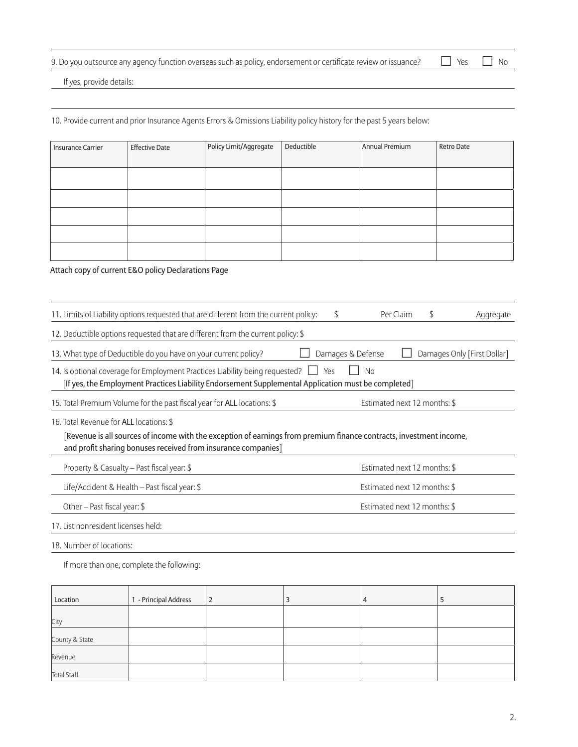| 7. Do you outsource any agency function overseas such as policy, endorsement or certificate review or issuance? $\Box$ Yes $\Box$ No |  |  |
|--------------------------------------------------------------------------------------------------------------------------------------|--|--|
|--------------------------------------------------------------------------------------------------------------------------------------|--|--|

If yes, provide details:

10. Provide current and prior Insurance Agents Errors & Omissions Liability policy history for the past 5 years below:

| <b>Insurance Carrier</b> | <b>Effective Date</b> | Policy Limit/Aggregate | Deductible | Annual Premium | Retro Date |
|--------------------------|-----------------------|------------------------|------------|----------------|------------|
|                          |                       |                        |            |                |            |
|                          |                       |                        |            |                |            |
|                          |                       |                        |            |                |            |
|                          |                       |                        |            |                |            |
|                          |                       |                        |            |                |            |
|                          |                       |                        |            |                |            |
|                          |                       |                        |            |                |            |

Attach copy of current E&O policy Declarations Page

| 11. Limits of Liability options requested that are different from the current policy:                                                                                                                                           | \$  |                              | Per Claim | S | Aggregate                   |
|---------------------------------------------------------------------------------------------------------------------------------------------------------------------------------------------------------------------------------|-----|------------------------------|-----------|---|-----------------------------|
| 12. Deductible options requested that are different from the current policy: \$                                                                                                                                                 |     |                              |           |   |                             |
| 13. What type of Deductible do you have on your current policy?                                                                                                                                                                 |     | Damages & Defense            |           |   | Damages Only [First Dollar] |
| 14. Is optional coverage for Employment Practices Liability being requested?<br>[If yes, the Employment Practices Liability Endorsement Supplemental Application must be completed]                                             | Yes | No                           |           |   |                             |
| 15. Total Premium Volume for the past fiscal year for ALL locations: \$                                                                                                                                                         |     | Estimated next 12 months: \$ |           |   |                             |
| 16. Total Revenue for ALL locations: \$<br>[Revenue is all sources of income with the exception of earnings from premium finance contracts, investment income,<br>and profit sharing bonuses received from insurance companies] |     |                              |           |   |                             |
| Property & Casualty – Past fiscal year: \$                                                                                                                                                                                      |     | Estimated next 12 months: \$ |           |   |                             |
| Life/Accident & Health – Past fiscal year: $\frac{1}{2}$                                                                                                                                                                        |     | Estimated next 12 months: \$ |           |   |                             |
| Other – Past fiscal year: $$$                                                                                                                                                                                                   |     | Estimated next 12 months: \$ |           |   |                             |
| 17. List nonresident licenses held:                                                                                                                                                                                             |     |                              |           |   |                             |
| 18. Number of locations:                                                                                                                                                                                                        |     |                              |           |   |                             |

If more than one, complete the following:

| Location           | 1 - Principal Address | $\overline{2}$ | $\overline{ }$ |  |
|--------------------|-----------------------|----------------|----------------|--|
| City               |                       |                |                |  |
| County & State     |                       |                |                |  |
| Revenue            |                       |                |                |  |
| <b>Total Staff</b> |                       |                |                |  |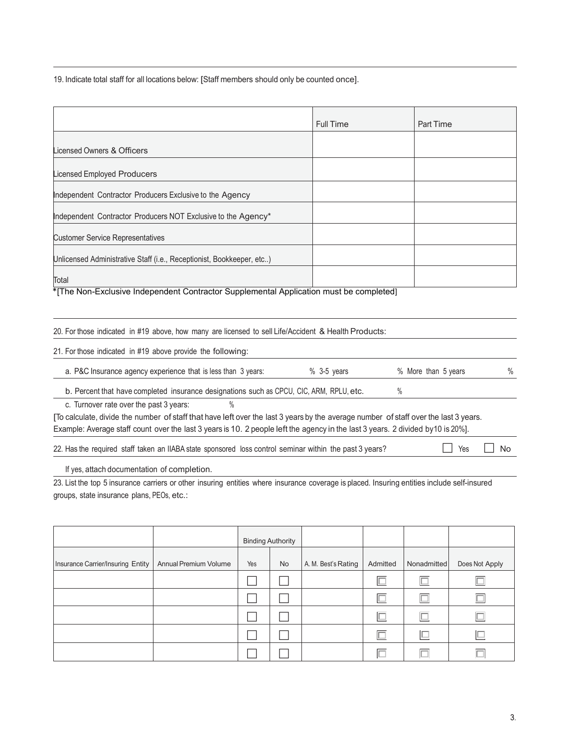19. Indicate total staff for all locations below: [Staff members should only be counted once].

|                                                                       | <b>Full Time</b> | Part Time |
|-----------------------------------------------------------------------|------------------|-----------|
|                                                                       |                  |           |
| Licensed Owners & Officers                                            |                  |           |
|                                                                       |                  |           |
| Licensed Employed Producers                                           |                  |           |
| Independent Contractor Producers Exclusive to the Agency              |                  |           |
| Independent Contractor Producers NOT Exclusive to the Agency*         |                  |           |
| <b>Customer Service Representatives</b>                               |                  |           |
| Unlicensed Administrative Staff (i.e., Receptionist, Bookkeeper, etc) |                  |           |
| Total                                                                 |                  |           |

\*[The Non-Exclusive Independent Contractor Supplemental Application must be completed]

#### 20. For those indicated in #19 above, how many are licensed to sell Life/Accident & Health Products:

| 21. For those indicated in #19 above provide the following:                                                                          |               |                     |   |
|--------------------------------------------------------------------------------------------------------------------------------------|---------------|---------------------|---|
| a. P&C Insurance agency experience that is less than 3 years:                                                                        | $%$ 3-5 years | % More than 5 years | % |
| b. Percent that have completed insurance designations such as CPCU, CIC, ARM, RPLU, etc.                                             |               |                     |   |
| c. Turnover rate over the past 3 years:                                                                                              |               |                     |   |
| [To calculate, divide the number of staff that have left over the last 3 years by the average number of staff over the last 3 years. |               |                     |   |
| Example: Average staff count over the last 3 years is 10. 2 people left the agency in the last 3 years. 2 divided by 10 is 20%].     |               |                     |   |

22. Has the required staff taken an IIABA state sponsored loss control seminar within the past 3 years?  $\Box$  Yes  $\Box$  No

If yes, attach documentation of completion.

23. List the top 5 insurance carriers or other insuring entities where insurance coverage is placed. Insuring entities include self-insured groups, state insurance plans, PEOs, etc.:

|                                   |                       |     | <b>Binding Authority</b> |                     |          |             |                |
|-----------------------------------|-----------------------|-----|--------------------------|---------------------|----------|-------------|----------------|
| Insurance Carrier/Insuring Entity | Annual Premium Volume | Yes | <b>No</b>                | A. M. Best's Rating | Admitted | Nonadmitted | Does Not Apply |
|                                   |                       |     |                          |                     |          |             |                |
|                                   |                       |     |                          |                     |          |             |                |
|                                   |                       |     |                          |                     |          |             |                |
|                                   |                       |     |                          |                     | $\Box$   | $\Box$      |                |
|                                   |                       |     |                          |                     |          |             |                |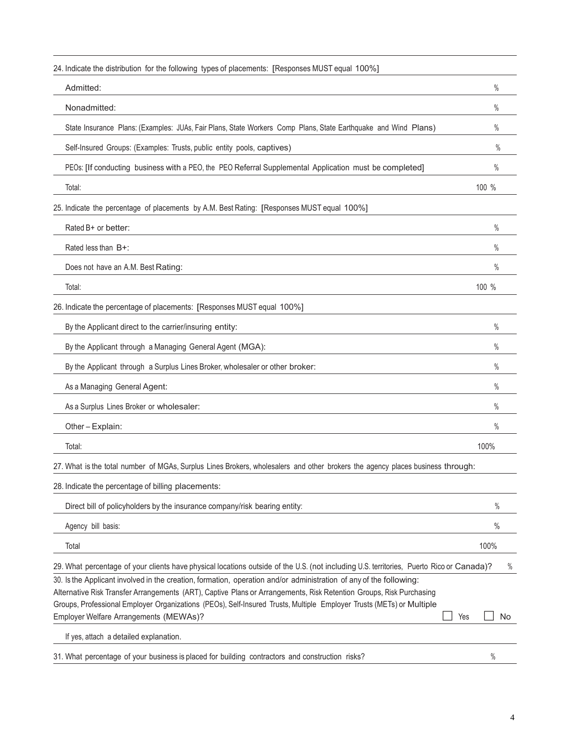| 24. Indicate the distribution for the following types of placements: [Responses MUST equal 100%]                                                                                                                                                                                                                                                                                                            |     |               |
|-------------------------------------------------------------------------------------------------------------------------------------------------------------------------------------------------------------------------------------------------------------------------------------------------------------------------------------------------------------------------------------------------------------|-----|---------------|
| Admitted:                                                                                                                                                                                                                                                                                                                                                                                                   |     | $\%$          |
| Nonadmitted:                                                                                                                                                                                                                                                                                                                                                                                                |     | $\%$          |
| State Insurance Plans: (Examples: JUAs, Fair Plans, State Workers Comp Plans, State Earthquake and Wind Plans)                                                                                                                                                                                                                                                                                              |     | $\%$          |
| Self-Insured Groups: (Examples: Trusts, public entity pools, captives)                                                                                                                                                                                                                                                                                                                                      |     | $\frac{0}{0}$ |
| PEOs: [If conducting business with a PEO, the PEO Referral Supplemental Application must be completed]                                                                                                                                                                                                                                                                                                      |     | $\%$          |
| Total:                                                                                                                                                                                                                                                                                                                                                                                                      |     | 100 %         |
| 25. Indicate the percentage of placements by A.M. Best Rating: [Responses MUST equal 100%]                                                                                                                                                                                                                                                                                                                  |     |               |
| Rated B+ or better:                                                                                                                                                                                                                                                                                                                                                                                         |     | $\%$          |
| Rated less than $B+$ :                                                                                                                                                                                                                                                                                                                                                                                      |     | $\%$          |
| Does not have an A.M. Best Rating:                                                                                                                                                                                                                                                                                                                                                                          |     | $\%$          |
| Total:                                                                                                                                                                                                                                                                                                                                                                                                      |     | 100 %         |
| 26. Indicate the percentage of placements: [Responses MUST equal 100%]                                                                                                                                                                                                                                                                                                                                      |     |               |
| By the Applicant direct to the carrier/insuring entity:                                                                                                                                                                                                                                                                                                                                                     |     | $\%$          |
| By the Applicant through a Managing General Agent (MGA):                                                                                                                                                                                                                                                                                                                                                    |     | $\%$          |
| By the Applicant through a Surplus Lines Broker, wholesaler or other broker:                                                                                                                                                                                                                                                                                                                                |     | $\%$          |
| As a Managing General Agent:                                                                                                                                                                                                                                                                                                                                                                                |     | $\%$          |
| As a Surplus Lines Broker or wholesaler:                                                                                                                                                                                                                                                                                                                                                                    |     | $\%$          |
| Other-Explain:                                                                                                                                                                                                                                                                                                                                                                                              |     | $\%$          |
| Total:                                                                                                                                                                                                                                                                                                                                                                                                      |     | 100%          |
| 27. What is the total number of MGAs, Surplus Lines Brokers, wholesalers and other brokers the agency places business through:                                                                                                                                                                                                                                                                              |     |               |
| 28. Indicate the percentage of billing placements:                                                                                                                                                                                                                                                                                                                                                          |     |               |
| Direct bill of policyholders by the insurance company/risk bearing entity:                                                                                                                                                                                                                                                                                                                                  |     | $\%$          |
| Agency bill basis:                                                                                                                                                                                                                                                                                                                                                                                          |     | $\frac{0}{0}$ |
| Total                                                                                                                                                                                                                                                                                                                                                                                                       |     | 100%          |
| 29. What percentage of your clients have physical locations outside of the U.S. (not including U.S. territories, Puerto Rico or Canada)?                                                                                                                                                                                                                                                                    |     | $\%$          |
| 30. Is the Applicant involved in the creation, formation, operation and/or administration of any of the following:<br>Alternative Risk Transfer Arrangements (ART), Captive Plans or Arrangements, Risk Retention Groups, Risk Purchasing<br>Groups, Professional Employer Organizations (PEOs), Self-Insured Trusts, Multiple Employer Trusts (METs) or Multiple<br>Employer Welfare Arrangements (MEWAs)? | Yes | No            |
| If yes, attach a detailed explanation.                                                                                                                                                                                                                                                                                                                                                                      |     |               |
| 31. What percentage of your business is placed for building contractors and construction risks?                                                                                                                                                                                                                                                                                                             |     | $\%$          |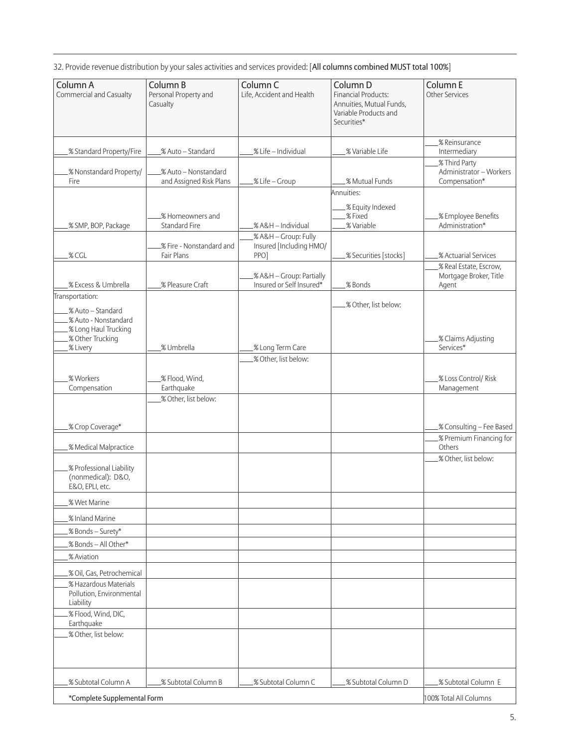32. Provide revenue distribution by your sales activities and services provided: [All columns combined MUST total 100%]

| Column A                                   | Column B                                        | Column C                                             | Column D                                          | Column E                                 |
|--------------------------------------------|-------------------------------------------------|------------------------------------------------------|---------------------------------------------------|------------------------------------------|
| Commercial and Casualty                    | Personal Property and                           | Life, Accident and Health                            | <b>Financial Products:</b>                        | <b>Other Services</b>                    |
|                                            | Casualty                                        |                                                      | Annuities, Mutual Funds,<br>Variable Products and |                                          |
|                                            |                                                 |                                                      | Securities*                                       |                                          |
|                                            |                                                 |                                                      |                                                   | % Reinsurance                            |
| .% Standard Property/Fire                  | .% Auto - Standard                              | .% Life - Individual                                 | .% Variable Life                                  | Intermediary                             |
|                                            |                                                 |                                                      |                                                   | .% Third Party                           |
| .% Nonstandard Property/<br>Fire           | % Auto - Nonstandard<br>and Assigned Risk Plans | .% Life - Group                                      | .% Mutual Funds                                   | Administrator - Workers<br>Compensation* |
|                                            |                                                 |                                                      | Annuities:                                        |                                          |
|                                            |                                                 |                                                      | .% Equity Indexed                                 |                                          |
|                                            | .% Homeowners and                               |                                                      | .%Fixed                                           | .% Employee Benefits                     |
| .% SMP, BOP, Package                       | Standard Fire                                   | .% A&H - Individual                                  | .% Variable                                       | Administration*                          |
|                                            | .% Fire - Nonstandard and                       | % A&H - Group: Fully<br>Insured [Including HMO/      |                                                   |                                          |
| % CGL                                      | Fair Plans                                      | PPO]                                                 | % Securities [stocks]                             | % Actuarial Services                     |
|                                            |                                                 |                                                      |                                                   | % Real Estate, Escrow,                   |
| .% Excess & Umbrella                       | .% Pleasure Craft                               | % A&H - Group: Partially<br>Insured or Self Insured* | .% Bonds                                          | Mortgage Broker, Title<br>Agent          |
| Transportation:                            |                                                 |                                                      |                                                   |                                          |
| % Auto - Standard                          |                                                 |                                                      | .% Other, list below:                             |                                          |
| .% Auto - Nonstandard                      |                                                 |                                                      |                                                   |                                          |
| .% Long Haul Trucking<br>.% Other Trucking |                                                 |                                                      |                                                   | .% Claims Adjusting                      |
| .% Livery                                  | % Umbrella                                      | % Long Term Care                                     |                                                   | Services*                                |
|                                            |                                                 | .% Other, list below:                                |                                                   |                                          |
| % Workers                                  | .% Flood, Wind,                                 |                                                      |                                                   | .% Loss Control/ Risk                    |
| Compensation                               | Earthquake                                      |                                                      |                                                   | Management                               |
|                                            | .% Other, list below:                           |                                                      |                                                   |                                          |
|                                            |                                                 |                                                      |                                                   |                                          |
| .% Crop Coverage*                          |                                                 |                                                      |                                                   | .% Consulting - Fee Based                |
|                                            |                                                 |                                                      |                                                   | % Premium Financing for                  |
| .% Medical Malpractice                     |                                                 |                                                      |                                                   | Others<br>.% Other, list below:          |
| .% Professional Liability                  |                                                 |                                                      |                                                   |                                          |
| (nonmedical): D&O,                         |                                                 |                                                      |                                                   |                                          |
| E&O, EPLI, etc.                            |                                                 |                                                      |                                                   |                                          |
| .% Wet Marine                              |                                                 |                                                      |                                                   |                                          |
| % Inland Marine                            |                                                 |                                                      |                                                   |                                          |
| .% Bonds - Surety*                         |                                                 |                                                      |                                                   |                                          |
| % Bonds - All Other*                       |                                                 |                                                      |                                                   |                                          |
| % Aviation                                 |                                                 |                                                      |                                                   |                                          |
| .% Oil, Gas, Petrochemical                 |                                                 |                                                      |                                                   |                                          |
| .% Hazardous Materials                     |                                                 |                                                      |                                                   |                                          |
| Pollution, Environmental<br>Liability      |                                                 |                                                      |                                                   |                                          |
| .% Flood, Wind, DIC,                       |                                                 |                                                      |                                                   |                                          |
| Earthquake                                 |                                                 |                                                      |                                                   |                                          |
| .% Other, list below:                      |                                                 |                                                      |                                                   |                                          |
|                                            |                                                 |                                                      |                                                   |                                          |
|                                            |                                                 |                                                      |                                                   |                                          |
| .% Subtotal Column A                       | % Subtotal Column B                             | % Subtotal Column C                                  | % Subtotal Column D                               | % Subtotal Column E                      |
| *Complete Supplemental Form                |                                                 |                                                      |                                                   | 100% Total All Columns                   |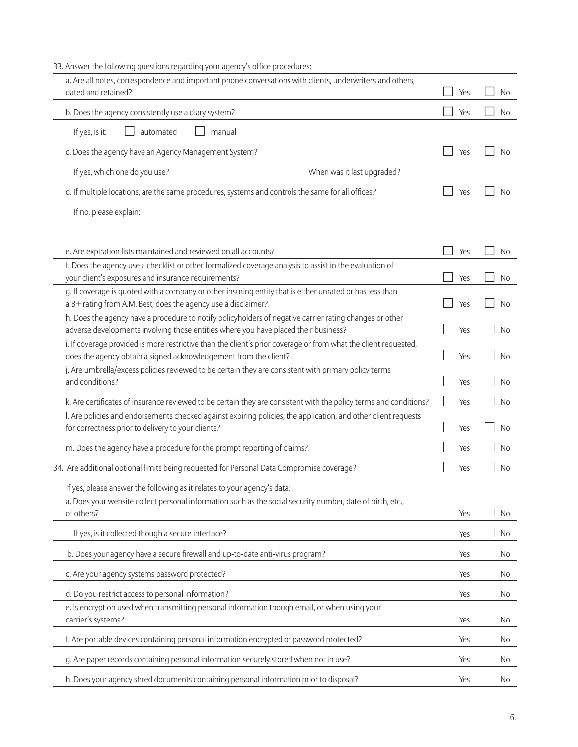| 33. Answer the following questions regarding your agency's office procedures:                                                                                                       |     |           |
|-------------------------------------------------------------------------------------------------------------------------------------------------------------------------------------|-----|-----------|
| a. Are all notes, correspondence and important phone conversations with clients, underwriters and others,                                                                           |     |           |
| dated and retained?                                                                                                                                                                 | Yes | No        |
| b. Does the agency consistently use a diary system?                                                                                                                                 | Yes | No        |
| If yes, is it:<br>automated<br>manual                                                                                                                                               |     |           |
| c. Does the agency have an Agency Management System?                                                                                                                                | Yes | No        |
| If yes, which one do you use?<br>When was it last upgraded?                                                                                                                         |     |           |
| d. If multiple locations, are the same procedures, systems and controls the same for all offices?                                                                                   | Yes | No.       |
| If no, please explain:                                                                                                                                                              |     |           |
| e. Are expiration lists maintained and reviewed on all accounts?                                                                                                                    | Yes | <b>No</b> |
| f. Does the agency use a checklist or other formalized coverage analysis to assist in the evaluation of                                                                             |     |           |
| your client's exposures and insurance requirements?                                                                                                                                 | Yes | No        |
| g. If coverage is quoted with a company or other insuring entity that is either unrated or has less than<br>a B+ rating from A.M. Best, does the agency use a disclaimer?           | Yes | <b>No</b> |
| h. Does the agency have a procedure to notify policyholders of negative carrier rating changes or other                                                                             |     |           |
| adverse developments involving those entities where you have placed their business?                                                                                                 | Yes | No        |
| i. If coverage provided is more restrictive than the client's prior coverage or from what the client requested,<br>does the agency obtain a signed acknowledgement from the client? | Yes | No        |
| j. Are umbrella/excess policies reviewed to be certain they are consistent with primary policy terms<br>and conditions?                                                             | Yes | No        |
| k. Are certificates of insurance reviewed to be certain they are consistent with the policy terms and conditions?                                                                   | Yes | No        |
| I. Are policies and endorsements checked against expiring policies, the application, and other client requests<br>for correctness prior to delivery to your clients?                | Yes | No        |
| m. Does the agency have a procedure for the prompt reporting of claims?                                                                                                             | Yes | No        |
| 34. Are additional optional limits being requested for Personal Data Compromise coverage?                                                                                           | Yes | No        |
| If yes, please answer the following as it relates to your agency's data:                                                                                                            |     |           |
| a. Does your website collect personal information such as the social security number, date of birth, etc.,                                                                          |     |           |
| of others?                                                                                                                                                                          | Yes | No        |
| If yes, is it collected though a secure interface?                                                                                                                                  | Yes | No        |
| b. Does your agency have a secure firewall and up-to-date anti-virus program?                                                                                                       | Yes | No        |
| c. Are your agency systems password protected?                                                                                                                                      | Yes | No        |
| d. Do you restrict access to personal information?                                                                                                                                  | Yes | No        |
| e. Is encryption used when transmitting personal information though email, or when using your<br>carrier's systems?                                                                 | Yes | No.       |
| f. Are portable devices containing personal information encrypted or password protected?                                                                                            | Yes | No        |
| g. Are paper records containing personal information securely stored when not in use?                                                                                               | Yes | No        |
| h. Does your agency shred documents containing personal information prior to disposal?                                                                                              | Yes | No        |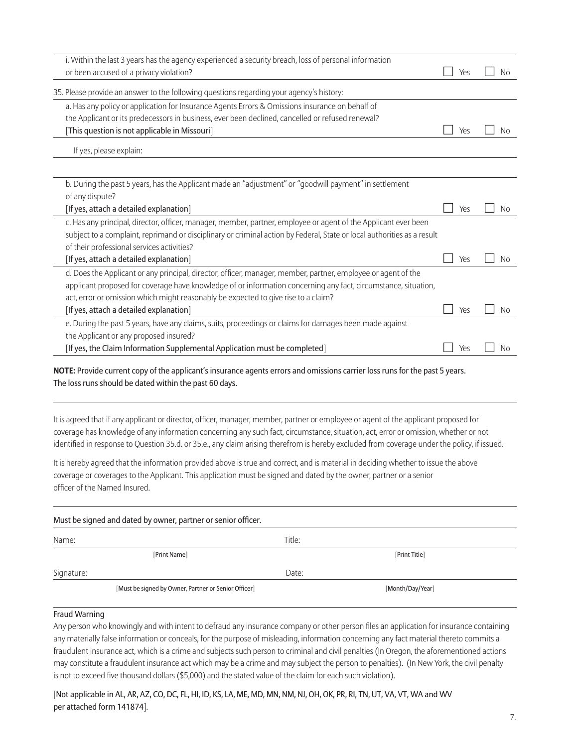| i. Within the last 3 years has the agency experienced a security breach, loss of personal information<br>or been accused of a privacy violation?                                                                                                                                                                                                                 | Yes | N <sub>0</sub> |
|------------------------------------------------------------------------------------------------------------------------------------------------------------------------------------------------------------------------------------------------------------------------------------------------------------------------------------------------------------------|-----|----------------|
| 35. Please provide an answer to the following questions regarding your agency's history:                                                                                                                                                                                                                                                                         |     |                |
| a. Has any policy or application for Insurance Agents Errors & Omissions insurance on behalf of                                                                                                                                                                                                                                                                  |     |                |
| the Applicant or its predecessors in business, ever been declined, cancelled or refused renewal?                                                                                                                                                                                                                                                                 |     |                |
| [This question is not applicable in Missouri]                                                                                                                                                                                                                                                                                                                    | Yes | <b>No</b>      |
| If yes, please explain:                                                                                                                                                                                                                                                                                                                                          |     |                |
|                                                                                                                                                                                                                                                                                                                                                                  |     |                |
| b. During the past 5 years, has the Applicant made an "adjustment" or "goodwill payment" in settlement                                                                                                                                                                                                                                                           |     |                |
| of any dispute?                                                                                                                                                                                                                                                                                                                                                  |     |                |
| [If yes, attach a detailed explanation]                                                                                                                                                                                                                                                                                                                          | Yes | <b>No</b>      |
| c. Has any principal, director, officer, manager, member, partner, employee or agent of the Applicant ever been<br>subject to a complaint, reprimand or disciplinary or criminal action by Federal, State or local authorities as a result<br>of their professional services activities?                                                                         |     |                |
| [If yes, attach a detailed explanation]                                                                                                                                                                                                                                                                                                                          | Yes | <b>No</b>      |
| d. Does the Applicant or any principal, director, officer, manager, member, partner, employee or agent of the<br>applicant proposed for coverage have knowledge of or information concerning any fact, circumstance, situation,<br>act, error or omission which might reasonably be expected to give rise to a claim?<br>[If yes, attach a detailed explanation] | Yes | <b>No</b>      |
|                                                                                                                                                                                                                                                                                                                                                                  |     |                |
| e. During the past 5 years, have any claims, suits, proceedings or claims for damages been made against<br>the Applicant or any proposed insured?                                                                                                                                                                                                                |     |                |
| [If yes, the Claim Information Supplemental Application must be completed]                                                                                                                                                                                                                                                                                       | Yes | No             |

**NOTE:** Provide current copy of the applicant's insurance agents errors and omissions carrier loss runs for the past 5 years. The loss runs should be dated within the past 60 days.

It is agreed that if any applicant or director, officer, manager, member, partner or employee or agent of the applicant proposed for coverage has knowledge of any information concerning any such fact, circumstance, situation, act, error or omission, whether or not identified in response to Question 35.d. or 35.e., any claim arising therefrom is hereby excluded from coverage under the policy, if issued.

It is hereby agreed that the information provided above is true and correct, and is material in deciding whether to issue the above coverage or coverages to the Applicant. This application must be signed and dated by the owner, partner or a senior officer of the Named Insured.

| Must be signed and dated by owner, partner or senior officer. |                                                      |        |                  |  |  |
|---------------------------------------------------------------|------------------------------------------------------|--------|------------------|--|--|
| Name:                                                         |                                                      | Title: |                  |  |  |
|                                                               | [Print Name]                                         |        | [Print Title]    |  |  |
| Signature:                                                    |                                                      | Date:  |                  |  |  |
|                                                               | [Must be signed by Owner, Partner or Senior Officer] |        | [Month/Day/Year] |  |  |

#### Fraud Warning

Any person who knowingly and with intent to defraud any insurance company or other person files an application for insurance containing any materially false information or conceals, for the purpose of misleading, information concerning any fact material thereto commits a fraudulent insurance act, which is a crime and subjects such person to criminal and civil penalties (In Oregon, the aforementioned actions may constitute a fraudulent insurance act which may be a crime and may subject the person to penalties). (In New York, the civil penalty is not to exceed five thousand dollars (\$5,000) and the stated value of the claim for each such violation).

[Not applicable in AL, AR, AZ, CO, DC, FL, HI, ID, KS, LA, ME, MD, MN, NM, NJ, OH, OK, PR, RI, TN, UT, VA, VT, WA and WV per attached form 141874].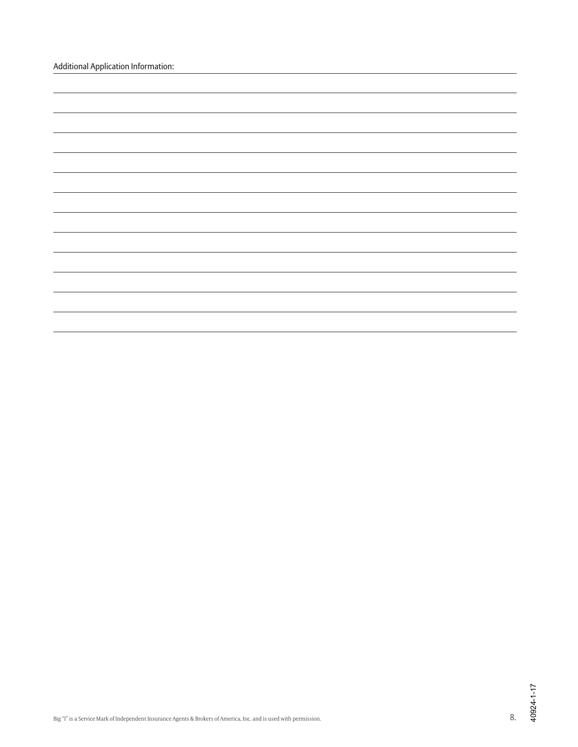| <b>Additional Application Information:</b> |  |
|--------------------------------------------|--|
|--------------------------------------------|--|

|  | the control of the control of the |
|--|-----------------------------------|
|  |                                   |
|  |                                   |
|  |                                   |
|  |                                   |
|  |                                   |
|  |                                   |
|  |                                   |
|  |                                   |
|  |                                   |
|  |                                   |
|  |                                   |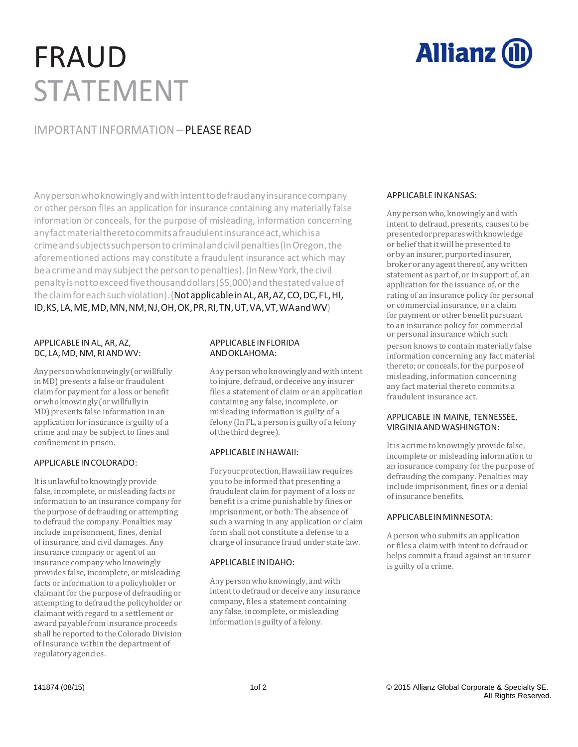# FR RAU D STATEMENT



### IMPORTANT INFORMATION – PLEASE READ

Any person who knowingly and with intent to defraud any insurance company or other person files an application for insurance containing any materially false information or conceals, for the purpose of misleading, information concerning anyfa actmaterialth heretocomm itsafraudulen ntinsurancea act,whichisa crime and subjects such person to criminal and civil penalties (In Oregon, the aforementioned actions may constitute a fraudulent insurance act which may be a crime and may subject the person to penalties). (In New York, the civil pena altyisnottoex xceedfivethou usanddollars (\$5,000)andt thestatedval ueof the claim for each such violation). (**Not applicable in AL, AR, AZ, CO, DC, FL, HI,** ID, KS, LA, ME, MD, MN, NM, NJ, OH, OK, PR, RI, TN, UT, VA, VT, WA and WV)

#### APPL ICABLE INAL, A AR, AZ, DC, LA, MD, NM, RI AND WV:

Any person who knowingly (or willfully in MD) presents a false or fraudulent claim for payment for a loss or benefit or who knowingly (or willfully in MD) presents false information in an application for insurance is guilty of a crime and may be subject to fines and confinement in prison.

#### APPL ICABLE INCOLO ORADO:

It is unlawful to knowingly provide false, incomplete, or misleading facts or information to an insurance company for the purpose of defrauding or attempting to defraud the company. Penalties may include imprisonment, fines, denial of insurance, and civil damages. Any insurance company or agent of an insurance company who knowingly of insurance, and civil damages. Any<br>insurance company or agent of an<br>insurance company who knowingly<br>provides false, incomplete, or misleading facts or information to a policyholder or claimant for the purpose of defrauding or attempting to defraud the policyholder or claimant with regard to a settlement or award payable from insurance proceeds shall be reported to the Colorado Division of Insurance within the department of regula atory agencies.

#### A PPLICABLEINF FLORIDA A NDOKLAHOMA A:

Any person who knowingly and with intent to injure, defraud, or deceive any insurer files a statement of claim or an application containing any false, incomplete, or misleading information is guilty of a felony (In FL, a person is guilty of a felony of the third degree).

#### A PPLICABLEINH HAWAII:

For your protection, Hawaii law requires you to be informed that presenting a fraudulent claim for payment of a loss or benefit is a crime punishable by fines or imprisonment, or both: The absence of such a warning in any application or claim form shall not constitute a defense to a charge of insurance fraud under state law.

#### A PPLICABLE INID DAHO:

Any person who knowingly, and with intent to defraud or deceive any insurance company, files a statement containing any false, incomplete, or misleading information is guilty of a felony.

#### APPLICABLE E INKANSAS:

Any person who, knowingly and with intent to defraud, presents, causes to be presented or prepares with knowledge or belief that it will be presented to or by an insurer, purported insurer, broker or any agent thereof, any written statement as part of, or in support of, an application for the issuance of, or the rating of an insurance policy for personal or commercial insurance, or a claim for payment or other benefit pursuant to an insurance policy for commercial or personal insurance which such

person knows to contain materially false information concerning any fact material thereto; or conceals, for the purpose of misleading, information concerning any fact material thereto commits a fraudulent insurance act.

#### APPLICABLE IN MAINE, TENNESSEE, VIRGINIA AND WASHINGTON:

It is a crime to knowingly provide false, incomplete or misleading information to an insurance company for the purpose of defrauding the company. Penalties may include imprisonment, fines or a denial of insurance benefits.

#### APPLICABLE IN MINNESOTA:

A person who submits an application or files a claim with intent to defraud or helps commit a fraud against an insurer is guilty of a crime.